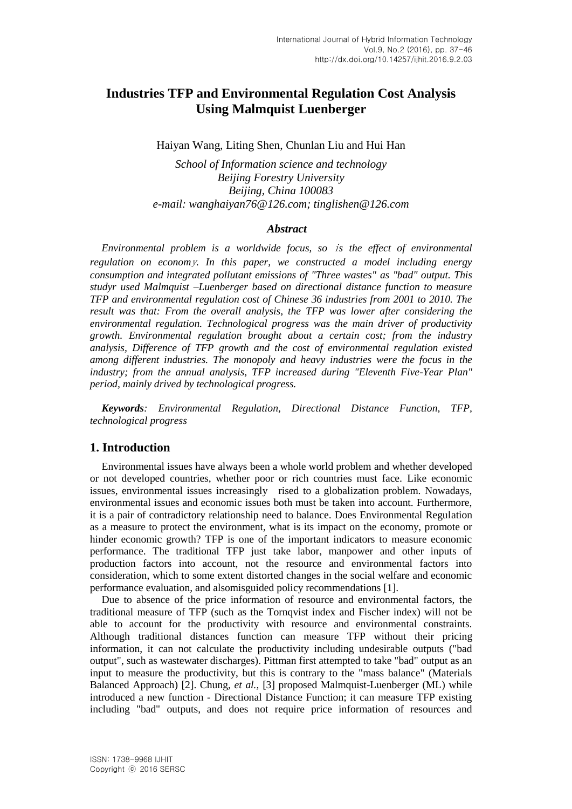# **Industries TFP and Environmental Regulation Cost Analysis Using Malmquist Luenberger**

Haiyan Wang, Liting Shen, Chunlan Liu and Hui Han

*School of Information science and technology Beijing Forestry University Beijing, China 100083 e-mail: wanghaiyan76@126.com; tinglishen@126.com*

#### *Abstract*

*Environmental problem is a worldwide focus, so* i*s the effect of environmental regulation on econom*y*. In this paper, we constructed a model including energy consumption and integrated pollutant emissions of "Three wastes" as "bad" output. This studyr used Malmquist –Luenberger based on directional distance function to measure TFP and environmental regulation cost of Chinese 36 industries from 2001 to 2010. The result was that: From the overall analysis, the TFP was lower after considering the environmental regulation. Technological progress was the main driver of productivity growth. Environmental regulation brought about a certain cost; from the industry analysis, Difference of TFP growth and the cost of environmental regulation existed among different industries. The monopoly and heavy industries were the focus in the industry; from the annual analysis, TFP increased during "Eleventh Five-Year Plan" period, mainly drived by technological progress.*

*Keywords: Environmental Regulation, Directional Distance Function, TFP, technological progress*

# **1. Introduction**

Environmental issues have always been a whole world problem and whether developed or not developed countries, whether poor or rich countries must face. Like economic issues, environmental issues increasingly rised to a globalization problem. Nowadays, environmental issues and economic issues both must be taken into account. Furthermore, it is a pair of contradictory relationship need to balance. Does Environmental Regulation as a measure to protect the environment, what is its impact on the economy, promote or hinder economic growth? TFP is one of the important indicators to measure economic performance. The traditional TFP just take labor, manpower and other inputs of production factors into account, not the resource and environmental factors into consideration, which to some extent distorted changes in the social welfare and economic performance evaluation, and alsomisguided policy recommendations [1].

Due to absence of the price information of resource and environmental factors, the traditional measure of TFP (such as the Tornqvist index and Fischer index) will not be able to account for the productivity with resource and environmental constraints. Although traditional distances function can measure TFP without their pricing information, it can not calculate the productivity including undesirable outputs ("bad output", such as wastewater discharges). Pittman first attempted to take "bad" output as an input to measure the productivity, but this is contrary to the "mass balance" (Materials Balanced Approach) [2]. Chung, *et al.,* [3] proposed Malmquist-Luenberger (ML) while introduced a new function - Directional Distance Function; it can measure TFP existing including "bad" outputs, and does not require price information of resources and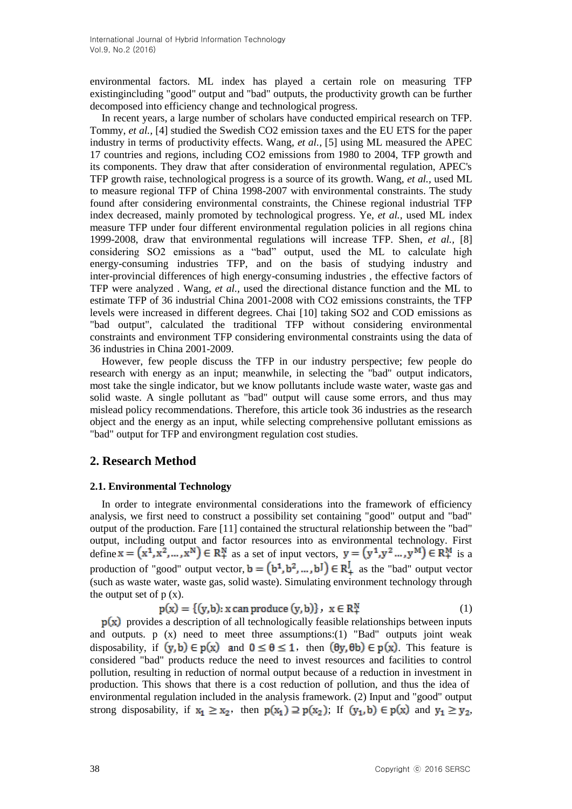environmental factors. ML index has played a certain role on measuring TFP existingincluding "good" output and "bad" outputs, the productivity growth can be further decomposed into efficiency change and technological progress.

In recent years, a large number of scholars have conducted empirical research on TFP. Tommy, *et al.,* [4] studied the Swedish CO2 emission taxes and the EU ETS for the paper industry in terms of productivity effects. Wang, *et al.,* [5] using ML measured the APEC 17 countries and regions, including CO2 emissions from 1980 to 2004, TFP growth and its components. They draw that after consideration of environmental regulation, APEC's TFP growth raise, technological progress is a source of its growth. Wang, *et al.,* used ML to measure regional TFP of China 1998-2007 with environmental constraints. The study found after considering environmental constraints, the Chinese regional industrial TFP index decreased, mainly promoted by technological progress. Ye, *et al.,* used ML index measure TFP under four different environmental regulation policies in all regions china 1999-2008, draw that environmental regulations will increase TFP. Shen, *et al.,* [8] considering SO2 emissions as a "bad" output, used the ML to calculate high energy-consuming industries TFP, and on the basis of studying industry and inter-provincial differences of high energy-consuming industries , the effective factors of TFP were analyzed . Wang, *et al.,* used the directional distance function and the ML to estimate TFP of 36 industrial China 2001-2008 with CO2 emissions constraints, the TFP levels were increased in different degrees. Chai [10] taking SO2 and COD emissions as "bad output", calculated the traditional TFP without considering environmental constraints and environment TFP considering environmental constraints using the data of 36 industries in China 2001-2009.

However, few people discuss the TFP in our industry perspective; few people do research with energy as an input; meanwhile, in selecting the "bad" output indicators, most take the single indicator, but we know pollutants include waste water, waste gas and solid waste. A single pollutant as "bad" output will cause some errors, and thus may mislead policy recommendations. Therefore, this article took 36 industries as the research object and the energy as an input, while selecting comprehensive pollutant emissions as "bad" output for TFP and environgment regulation cost studies.

# **2. Research Method**

### **2.1. Environmental Technology**

In order to integrate environmental considerations into the framework of efficiency analysis, we first need to construct a possibility set containing "good" output and "bad" output of the production. Fare [11] contained the structural relationship between the "bad" output, including output and factor resources into as environmental technology. First define  $\mathbf{x} = (\mathbf{x}^1, \mathbf{x}^2, ..., \mathbf{x}^N) \in \mathbb{R}^N_+$  as a set of input vectors,  $\mathbf{y} = (\mathbf{y}^1, \mathbf{y}^2, ..., \mathbf{y}^M) \in \mathbb{R}^M_+$  is a production of "good" output vector,  $\mathbf{b} = (\mathbf{b}^1, \mathbf{b}^2, \dots, \mathbf{b}^J) \in \mathbb{R}^J_+$  as the "bad" output vector (such as waste water, waste gas, solid waste). Simulating environment technology through the output set of  $p(x)$ .

$$
p(x) = \{(y,b): x \text{ can produce } (y,b)\}, x \in R_+^N
$$
 (1)

 $p(x)$  provides a description of all technologically feasible relationships between inputs and outputs.  $p(x)$  need to meet three assumptions:(1) "Bad" outputs joint weak disposability, if  $(y, b) \in p(x)$  and  $0 \le \theta \le 1$ , then  $(\theta y, \theta b) \in p(x)$ . This feature is considered "bad" products reduce the need to invest resources and facilities to control pollution, resulting in reduction of normal output because of a reduction in investment in production. This shows that there is a cost reduction of pollution, and thus the idea of environmental regulation included in the analysis framework. (2) Input and "good" output strong disposability, if  $x_1 \ge x_2$ , then  $p(x_1) \supseteq p(x_2)$ ; If  $(y_1, b) \in p(x)$  and  $y_1 \ge y_2$ ,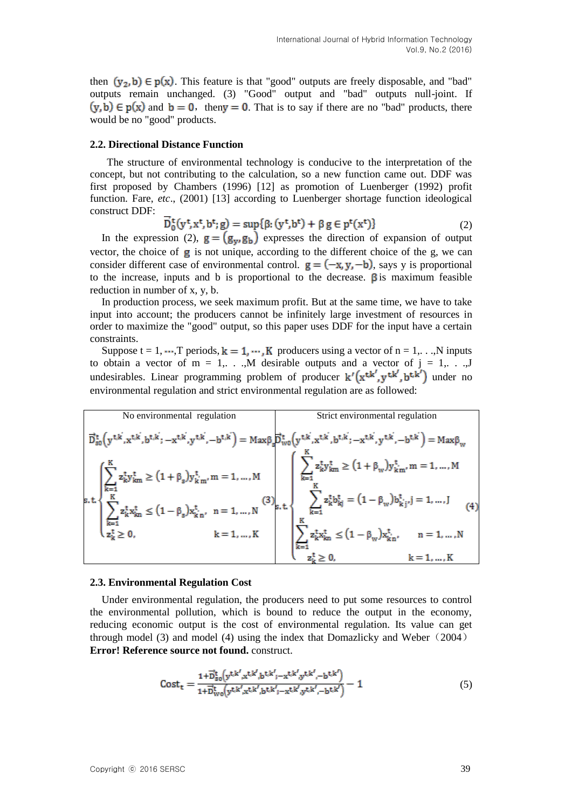then  $(y_2, b) \in p(x)$ . This feature is that "good" outputs are freely disposable, and "bad" outputs remain unchanged. (3) "Good" output and "bad" outputs null-joint. If  $(y, b) \in p(x)$  and  $b = 0$ , then  $y = 0$ . That is to say if there are no "bad" products, there would be no "good" products.

#### **2.2. Directional Distance Function**

The structure of environmental technology is conducive to the interpretation of the concept, but not contributing to the calculation, so a new function came out. DDF was first proposed by Chambers (1996) [12] as promotion of Luenberger (1992) profit function. Fare, *etc*., (2001) [13] according to Luenberger shortage function ideological construct DDF:

$$
D_0^{\mathsf{t}}(y^{\mathsf{t}}, x^{\mathsf{t}}, b^{\mathsf{t}}; g) = \sup\{\beta: (y^{\mathsf{t}}, b^{\mathsf{t}}) + \beta g \in p^{\mathsf{t}}(x^{\mathsf{t}})\}\tag{2}
$$

In the expression (2),  $\mathbf{g} = (\mathbf{g}_v, \mathbf{g}_b)$  expresses the direction of expansion of output vector, the choice of  $g$  is not unique, according to the different choice of the  $g$ , we can consider different case of environmental control.  $g = (-x, y, -b)$ , says y is proportional to the increase, inputs and b is proportional to the decrease.  $\beta$  is maximum feasible reduction in number of x, y, b.

In production process, we seek maximum profit. But at the same time, we have to take input into account; the producers cannot be infinitely large investment of resources in order to maximize the "good" output, so this paper uses DDF for the input have a certain constraints.

Suppose  $t = 1, \dots, T$  periods,  $k = 1, \dots, K$  producers using a vector of  $n = 1, \dots, N$  inputs to obtain a vector of  $m = 1, \ldots, M$  desirable outputs and a vector of  $j = 1, \ldots, J$ undesirables. Linear programming problem of producer  $k'(x^{t,k},y^{t,k'})$  under no environmental regulation and strict environmental regulation are as followed:

| No environmental regulation | Strict environmental regulation                                                                                                                                                                                                                                                                                                                                                                |
|-----------------------------|------------------------------------------------------------------------------------------------------------------------------------------------------------------------------------------------------------------------------------------------------------------------------------------------------------------------------------------------------------------------------------------------|
|                             | $\overrightarrow{D}_{\text{SO}}^{t}\Big(y^{t,k^{'}} ,x^{t,k^{'}} ,b^{t,k^{'}} ,-x^{t,k^{'}} ,y^{t,k^{'}} ,-b^{t,k^{'}} \Big)=\text{Max}\beta_{\text{s}}\overrightarrow{D}_{\text{WO}}^{t}\Big(y^{t,k^{'}} ,x^{t,k^{'}} ,b^{t,k^{'}} ,-x^{t,k^{'}} ,y^{t,k^{'}} ,-b^{t,k^{'}} \Big)=\text{Max}\beta_{\text{W}}$                                                                                 |
|                             | $\left\{\begin{aligned} &\sum_{k=1}^{K}z_{k}^{t}y_{km}^{t} \geq (1+\beta_{s})y_{km}^{t}, m=1,,M \\ &\sum_{k=1}^{K}z_{k}^{t}x_{km}^{t} \leq (1-\beta_{s})x_{km}^{t},~n=1,,N \end{aligned}\right. \hspace{0.25in} \hspace{0.25in} \hspace{0.25in} \left\{\begin{aligned} &\sum_{k=1}^{K}z_{k}^{t}y_{km}^{t} \geq (1+\beta_{w})y_{km}^{t}, m=1,,M \\ &\sum_{k=1}^{K}z_{k}^{t}b_{$<br>$k = 1, , K$ |

#### **2.3. Environmental Regulation Cost**

Under environmental regulation, the producers need to put some resources to control the environmental pollution, which is bound to reduce the output in the economy, reducing economic output is the cost of environmental regulation. Its value can get through model (3) and model (4) using the index that Domazlicky and Weber  $(2004)$ **Error! Reference source not found.** construct.

$$
Cost_{t} = \frac{1 + \vec{D}_{so}^{t}(y^{t,k',x^{t,k'},b^{t,k'}; -x^{t,k',y^{t,k'}}, -b^{t,k'})}{1 + \vec{D}_{wo}^{t}(y^{t,k',x^{t,k'},b^{t,k'}; -x^{t,k',y^{t,k'}}, -b^{t,k'})} - 1
$$
\n(5)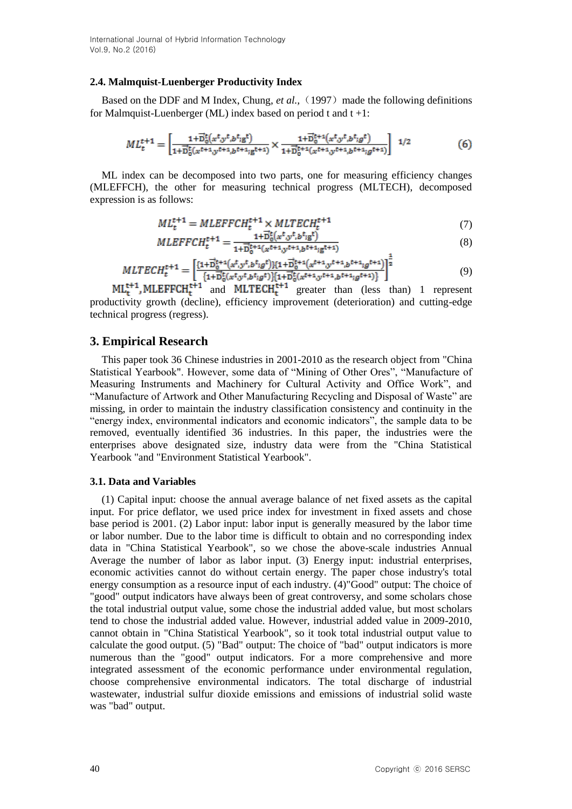#### **2.4. Malmquist-Luenberger Productivity Index**

Based on the DDF and M Index, Chung, et al., (1997) made the following definitions for Malmquist-Luenberger (ML) index based on period t and  $t + 1$ :

$$
ML_t^{t+1} = \left[ \frac{1 + \overrightarrow{D}_0^t(x^t, y^t, b^t, g^t)}{1 + \overrightarrow{D}_0^t(x^{t+1}, y^{t+1}, b^{t+1}, g^{t+1})} \times \frac{1 + \overrightarrow{D}_0^{t+1}(x^t, y^t, b^t, g^t)}{1 + \overrightarrow{D}_0^{t+1}(x^{t+1}, y^{t+1}, b^{t+1}, g^{t+1})} \right]^{-1/2}
$$
(6)

ML index can be decomposed into two parts, one for measuring efficiency changes (MLEFFCH), the other for measuring technical progress (MLTECH), decomposed expression is as follows:

$$
ML_t^{t+1} = MLEFFCH_t^{t+1} \times MLTECH_t^{t+1}
$$
\n<sup>(7)</sup>

$$
MLEFFCH_{t}^{t+1} = \frac{1+\overline{D}_{0}^{t}(x^{t}, y^{t}, b^{t}; g^{t})}{1+\overline{D}_{0}^{t+1}(x^{t+1}, y^{t+1}, b^{t+1}; g^{t+1})}
$$
(8)

$$
MLTECH_t^{t+1} = \left[ \frac{\{1+\overrightarrow{D}_0^{t+1}(x^t, y^t, b^t; g^t)\}\{1+\overrightarrow{D}_0^{t+1}(x^{t+1}, y^{t+1}, b^{t+1}; g^{t+1})\}}{\{1+\overrightarrow{D}_0^{t}(x^t, y^t, b^t; g^t)\}\{1+\overrightarrow{D}_0^{t}(x^{t+1}, y^{t+1}, b^{t+1}; g^{t+1})\}} \right]^{\frac{1}{2}}
$$
(9)

 $ML_t^{t+1}$ , MLEFFCH<sub>t</sub><sup>+1</sup> and MLTECH<sub>t</sub><sup>t+1</sup> greater than (less than) 1 represent productivity growth (decline), efficiency improvement (deterioration) and cutting-edge technical progress (regress).

### **3. Empirical Research**

This paper took 36 Chinese industries in 2001-2010 as the research object from "China Statistical Yearbook". However, some data of "Mining of Other Ores", "Manufacture of Measuring Instruments and Machinery for Cultural Activity and Office Work", and "Manufacture of Artwork and Other Manufacturing Recycling and Disposal of Waste" are missing, in order to maintain the industry classification consistency and continuity in the "energy index, environmental indicators and economic indicators", the sample data to be removed, eventually identified 36 industries. In this paper, the industries were the enterprises above designated size, industry data were from the "China Statistical Yearbook "and "Environment Statistical Yearbook".

### **3.1. Data and Variables**

(1) Capital input: choose the annual average balance of net fixed assets as the capital input. For price deflator, we used price index for investment in fixed assets and chose base period is 2001. (2) Labor input: labor input is generally measured by the labor time or labor number. Due to the labor time is difficult to obtain and no corresponding index data in "China Statistical Yearbook", so we chose the above-scale industries Annual Average the number of labor as labor input. (3) Energy input: industrial enterprises, economic activities cannot do without certain energy. The paper chose industry's total energy consumption as a resource input of each industry. (4)"Good" output: The choice of "good" output indicators have always been of great controversy, and some scholars chose the total industrial output value, some chose the industrial added value, but most scholars tend to chose the industrial added value. However, industrial added value in 2009-2010, cannot obtain in "China Statistical Yearbook", so it took total industrial output value to calculate the good output. (5) "Bad" output: The choice of "bad" output indicators is more numerous than the "good" output indicators. For a more comprehensive and more integrated assessment of the economic performance under environmental regulation, choose comprehensive environmental indicators. The total discharge of industrial wastewater, industrial sulfur dioxide emissions and emissions of industrial solid waste was "bad" output.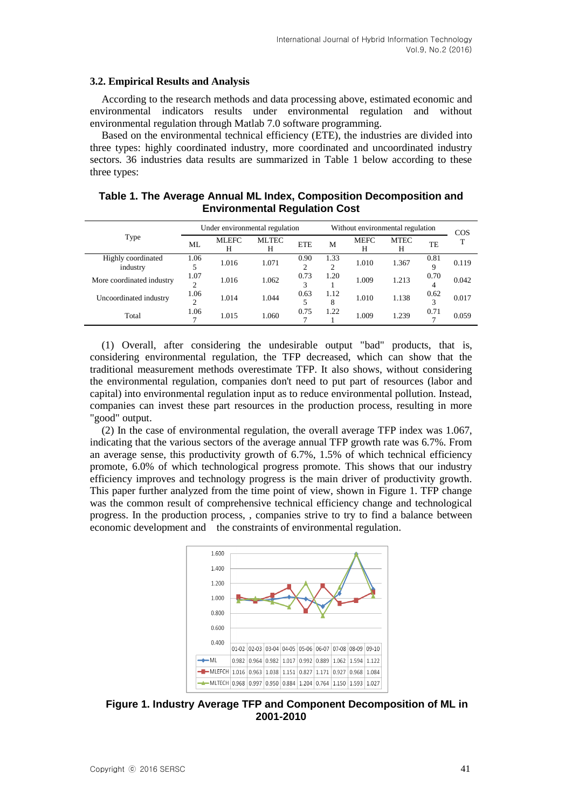#### **3.2. Empirical Results and Analysis**

According to the research methods and data processing above, estimated economic and environmental indicators results under environmental regulation and without environmental regulation through Matlab 7.0 software programming.

Based on the environmental technical efficiency (ETE), the industries are divided into three types: highly coordinated industry, more coordinated and uncoordinated industry sectors. 36 industries data results are summarized in Table 1 below according to these three types:

|                                |                       |                   | Under environmental regulation | Without environmental regulation | COS       |           |                  |           |       |
|--------------------------------|-----------------------|-------------------|--------------------------------|----------------------------------|-----------|-----------|------------------|-----------|-------|
| Type                           | ML                    | <b>MLEFC</b><br>Н | <b>MLTEC</b><br>Н              | <b>ETE</b>                       | M         | MEFC<br>Н | <b>MTEC</b><br>Н | TE        |       |
| Highly coordinated<br>industry | 1.06                  | 1.016             | 1.071                          | 0.90<br>∍                        | 1.33      | 1.010     | 1.367            | 0.81<br>9 | 0.119 |
| More coordinated industry      | 1.07<br>↑             | 1.016             | 1.062                          | 0.73                             | 1.20      | 1.009     | 1.213            | 0.70<br>4 | 0.042 |
| Uncoordinated industry         | 1.06<br>2             | 1.014             | 1.044                          | 0.63                             | 1.12<br>8 | 1.010     | 1.138            | 0.62<br>3 | 0.017 |
| Total                          | 1.06<br>$\mathcal{L}$ | 1.015             | 1.060                          | 0.75                             | 1.22      | 1.009     | 1.239            | 0.71<br>7 | 0.059 |

### **Table 1. The Average Annual ML Index, Composition Decomposition and Environmental Regulation Cost**

(1) Overall, after considering the undesirable output "bad" products, that is, considering environmental regulation, the TFP decreased, which can show that the traditional measurement methods overestimate TFP. It also shows, without considering the environmental regulation, companies don't need to put part of resources (labor and capital) into environmental regulation input as to reduce environmental pollution. Instead, companies can invest these part resources in the production process, resulting in more "good" output.

(2) In the case of environmental regulation, the overall average TFP index was 1.067, indicating that the various sectors of the average annual TFP growth rate was 6.7%. From an average sense, this productivity growth of 6.7%, 1.5% of which technical efficiency promote, 6.0% of which technological progress promote. This shows that our industry efficiency improves and technology progress is the main driver of productivity growth. This paper further analyzed from the time point of view, shown in Figure 1. TFP change was the common result of comprehensive technical efficiency change and technological progress. In the production process, , companies strive to try to find a balance between economic development and the constraints of environmental regulation.



**Figure 1. Industry Average TFP and Component Decomposition of ML in 2001-2010**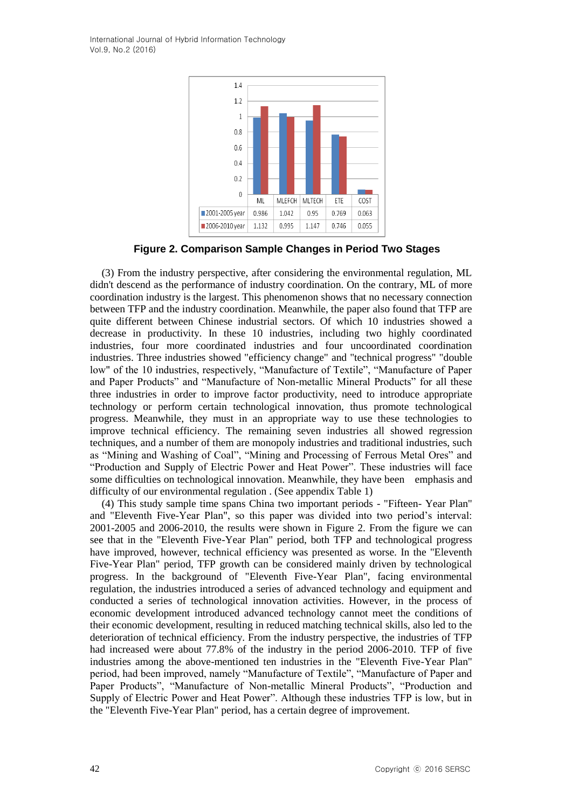International Journal of Hybrid Information Technology Vol.9, No.2 (2016)



**Figure 2. Comparison Sample Changes in Period Two Stages**

(3) From the industry perspective, after considering the environmental regulation, ML didn't descend as the performance of industry coordination. On the contrary, ML of more coordination industry is the largest. This phenomenon shows that no necessary connection between TFP and the industry coordination. Meanwhile, the paper also found that TFP are quite different between Chinese industrial sectors. Of which 10 industries showed a decrease in productivity. In these 10 industries, including two highly coordinated industries, four more coordinated industries and four uncoordinated coordination industries. Three industries showed "efficiency change" and "technical progress" "double low" of the 10 industries, respectively, "Manufacture of Textile", "Manufacture of Paper and Paper Products" and "Manufacture of Non-metallic Mineral Products" for all these three industries in order to improve factor productivity, need to introduce appropriate technology or perform certain technological innovation, thus promote technological progress. Meanwhile, they must in an appropriate way to use these technologies to improve technical efficiency. The remaining seven industries all showed regression techniques, and a number of them are monopoly industries and traditional industries, such as "Mining and Washing of Coal", "Mining and Processing of Ferrous Metal Ores" and "Production and Supply of Electric Power and Heat Power". These industries will face some difficulties on technological innovation. Meanwhile, they have been emphasis and difficulty of our environmental regulation . (See appendix Table 1)

(4) This study sample time spans China two important periods - "Fifteen- Year Plan" and "Eleventh Five-Year Plan", so this paper was divided into two period's interval: 2001-2005 and 2006-2010, the results were shown in Figure 2. From the figure we can see that in the "Eleventh Five-Year Plan" period, both TFP and technological progress have improved, however, technical efficiency was presented as worse. In the "Eleventh Five-Year Plan" period, TFP growth can be considered mainly driven by technological progress. In the background of "Eleventh Five-Year Plan", facing environmental regulation, the industries introduced a series of advanced technology and equipment and conducted a series of technological innovation activities. However, in the process of economic development introduced advanced technology cannot meet the conditions of their economic development, resulting in reduced matching technical skills, also led to the deterioration of technical efficiency. From the industry perspective, the industries of TFP had increased were about 77.8% of the industry in the period 2006-2010. TFP of five industries among the above-mentioned ten industries in the "Eleventh Five-Year Plan" period, had been improved, namely "Manufacture of Textile", "Manufacture of Paper and Paper Products", "Manufacture of Non-metallic Mineral Products", "Production and Supply of Electric Power and Heat Power". Although these industries TFP is low, but in the "Eleventh Five-Year Plan" period, has a certain degree of improvement.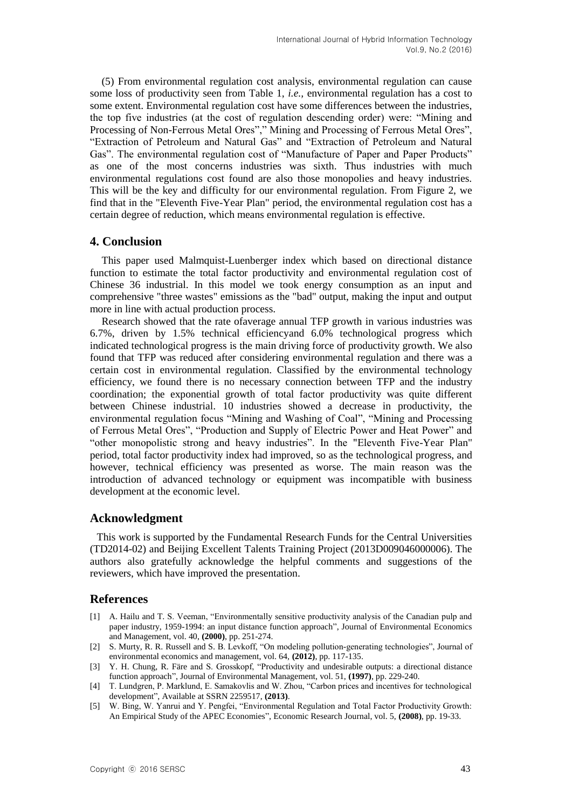(5) From environmental regulation cost analysis, environmental regulation can cause some loss of productivity seen from Table 1, *i.e.,* environmental regulation has a cost to some extent. Environmental regulation cost have some differences between the industries, the top five industries (at the cost of regulation descending order) were: "Mining and Processing of Non-Ferrous Metal Ores"," Mining and Processing of Ferrous Metal Ores", "Extraction of Petroleum and Natural Gas" and "Extraction of Petroleum and Natural Gas". The environmental regulation cost of "Manufacture of Paper and Paper Products" as one of the most concerns industries was sixth. Thus industries with much environmental regulations cost found are also those monopolies and heavy industries. This will be the key and difficulty for our environmental regulation. From Figure 2, we find that in the "Eleventh Five-Year Plan" period, the environmental regulation cost has a certain degree of reduction, which means environmental regulation is effective.

### **4. Conclusion**

This paper used Malmquist-Luenberger index which based on directional distance function to estimate the total factor productivity and environmental regulation cost of Chinese 36 industrial. In this model we took energy consumption as an input and comprehensive "three wastes" emissions as the "bad" output, making the input and output more in line with actual production process.

Research showed that the rate ofaverage annual TFP growth in various industries was 6.7%, driven by 1.5% technical efficiencyand 6.0% technological progress which indicated technological progress is the main driving force of productivity growth. We also found that TFP was reduced after considering environmental regulation and there was a certain cost in environmental regulation. Classified by the environmental technology efficiency, we found there is no necessary connection between TFP and the industry coordination; the exponential growth of total factor productivity was quite different between Chinese industrial. 10 industries showed a decrease in productivity, the environmental regulation focus "Mining and Washing of Coal", "Mining and Processing of Ferrous Metal Ores", "Production and Supply of Electric Power and Heat Power" and "other monopolistic strong and heavy industries". In the "Eleventh Five-Year Plan" period, total factor productivity index had improved, so as the technological progress, and however, technical efficiency was presented as worse. The main reason was the introduction of advanced technology or equipment was incompatible with business development at the economic level.

# **Acknowledgment**

This work is supported by the Fundamental Research Funds for the Central Universities (TD2014-02) and Beijing Excellent Talents Training Project (2013D009046000006). The authors also gratefully acknowledge the helpful comments and suggestions of the reviewers, which have improved the presentation.

# **References**

- [1] A. Hailu and T. S. Veeman, "Environmentally sensitive productivity analysis of the Canadian pulp and paper industry, 1959-1994: an input distance function approach", Journal of Environmental Economics and Management, vol. 40, **(2000)**, pp. 251-274.
- [2] S. Murty, R. R. Russell and S. B. Levkoff, "On modeling pollution-generating technologies", Journal of environmental economics and management, vol. 64, **(2012)**, pp. 117-135.
- [3] Y. H. Chung, R. Färe and S. Grosskopf, "Productivity and undesirable outputs: a directional distance function approach", Journal of Environmental Management, vol. 51, **(1997)**, pp. 229-240.
- [4] T. Lundgren, P. Marklund, E. Samakovlis and W. Zhou, "Carbon prices and incentives for technological development", Available at SSRN 2259517, **(2013)**.
- [5] W. Bing, W. Yanrui and Y. Pengfei, "Environmental Regulation and Total Factor Productivity Growth: An Empirical Study of the APEC Economies", Economic Research Journal, vol. 5, **(2008)**, pp. 19-33.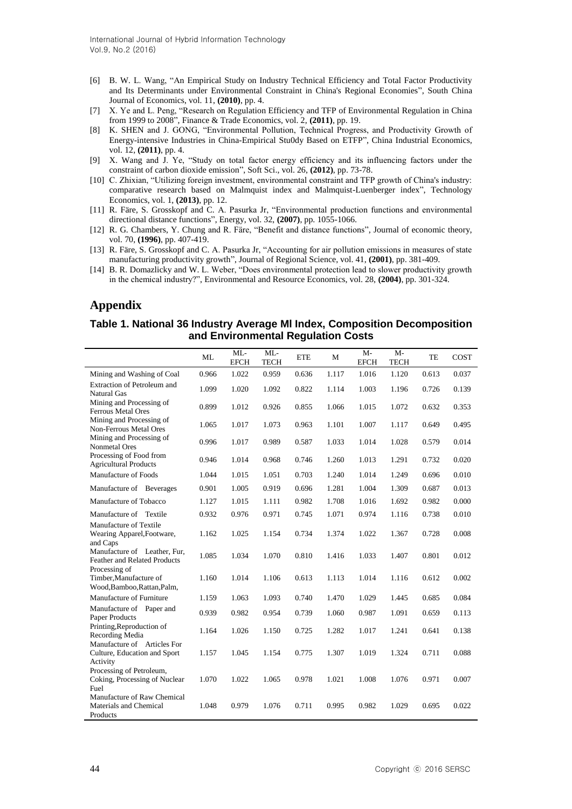- [6] B. W. L. Wang, "An Empirical Study on Industry Technical Efficiency and Total Factor Productivity and Its Determinants under Environmental Constraint in China's Regional Economies", South China Journal of Economics, vol. 11, **(2010)**, pp. 4.
- [7] X. Ye and L. Peng, "Research on Regulation Efficiency and TFP of Environmental Regulation in China from 1999 to 2008", Finance & Trade Economics, vol. 2, **(2011)**, pp. 19.
- [8] K. SHEN and J. GONG, "Environmental Pollution, Technical Progress, and Productivity Growth of Energy-intensive Industries in China-Empirical Stu0dy Based on ETFP", China Industrial Economics, vol. 12, **(2011)**, pp. 4.
- [9] X. Wang and J. Ye, "Study on total factor energy efficiency and its influencing factors under the constraint of carbon dioxide emission", Soft Sci., vol. 26, **(2012)**, pp. 73-78.
- [10] C. Zhixian, "Utilizing foreign investment, environmental constraint and TFP growth of China's industry: comparative research based on Malmquist index and Malmquist-Luenberger index", Technology Economics, vol. 1, **(2013)**, pp. 12.
- [11] R. Färe, S. Grosskopf and C. A. Pasurka Jr, "Environmental production functions and environmental directional distance functions", Energy, vol. 32, **(2007)**, pp. 1055-1066.
- [12] R. G. Chambers, Y. Chung and R. Färe, "Benefit and distance functions", Journal of economic theory, vol. 70, **(1996)**, pp. 407-419.
- [13] R. Färe, S. Grosskopf and C. A. Pasurka Jr, "Accounting for air pollution emissions in measures of state manufacturing productivity growth", Journal of Regional Science, vol. 41, **(2001)**, pp. 381-409.
- [14] B. R. Domazlicky and W. L. Weber, "Does environmental protection lead to slower productivity growth in the chemical industry?", Environmental and Resource Economics, vol. 28, **(2004)**, pp. 301-324.

# **Appendix**

#### **Table 1. National 36 Industry Average Ml Index, Composition Decomposition and Environmental Regulation Costs**

|                                                                               | ML    | ML<br><b>EFCH</b> | ML<br><b>TECH</b> | <b>ETE</b> | M     | $M -$<br><b>EFCH</b> | $M-$<br><b>TECH</b> | TE    | COST  |
|-------------------------------------------------------------------------------|-------|-------------------|-------------------|------------|-------|----------------------|---------------------|-------|-------|
| Mining and Washing of Coal                                                    | 0.966 | 1.022             | 0.959             | 0.636      | 1.117 | 1.016                | 1.120               | 0.613 | 0.037 |
| Extraction of Petroleum and<br><b>Natural Gas</b>                             | 1.099 | 1.020             | 1.092             | 0.822      | 1.114 | 1.003                | 1.196               | 0.726 | 0.139 |
| Mining and Processing of<br>Ferrous Metal Ores                                | 0.899 | 1.012             | 0.926             | 0.855      | 1.066 | 1.015                | 1.072               | 0.632 | 0.353 |
| Mining and Processing of<br>Non-Ferrous Metal Ores                            | 1.065 | 1.017             | 1.073             | 0.963      | 1.101 | 1.007                | 1.117               | 0.649 | 0.495 |
| Mining and Processing of<br>Nonmetal Ores                                     | 0.996 | 1.017             | 0.989             | 0.587      | 1.033 | 1.014                | 1.028               | 0.579 | 0.014 |
| Processing of Food from<br><b>Agricultural Products</b>                       | 0.946 | 1.014             | 0.968             | 0.746      | 1.260 | 1.013                | 1.291               | 0.732 | 0.020 |
| Manufacture of Foods                                                          | 1.044 | 1.015             | 1.051             | 0.703      | 1.240 | 1.014                | 1.249               | 0.696 | 0.010 |
| Manufacture of Beverages                                                      | 0.901 | 1.005             | 0.919             | 0.696      | 1.281 | 1.004                | 1.309               | 0.687 | 0.013 |
| Manufacture of Tobacco                                                        | 1.127 | 1.015             | 1.111             | 0.982      | 1.708 | 1.016                | 1.692               | 0.982 | 0.000 |
| Manufacture of Textile                                                        | 0.932 | 0.976             | 0.971             | 0.745      | 1.071 | 0.974                | 1.116               | 0.738 | 0.010 |
| Manufacture of Textile<br>Wearing Apparel, Footware,<br>and Caps              | 1.162 | 1.025             | 1.154             | 0.734      | 1.374 | 1.022                | 1.367               | 0.728 | 0.008 |
| Manufacture of Leather, Fur,<br>Feather and Related Products<br>Processing of | 1.085 | 1.034             | 1.070             | 0.810      | 1.416 | 1.033                | 1.407               | 0.801 | 0.012 |
| Timber, Manufacture of<br>Wood, Bamboo, Rattan, Palm,                         | 1.160 | 1.014             | 1.106             | 0.613      | 1.113 | 1.014                | 1.116               | 0.612 | 0.002 |
| Manufacture of Furniture                                                      | 1.159 | 1.063             | 1.093             | 0.740      | 1.470 | 1.029                | 1.445               | 0.685 | 0.084 |
| Manufacture of Paper and<br>Paper Products                                    | 0.939 | 0.982             | 0.954             | 0.739      | 1.060 | 0.987                | 1.091               | 0.659 | 0.113 |
| Printing, Reproduction of<br>Recording Media                                  | 1.164 | 1.026             | 1.150             | 0.725      | 1.282 | 1.017                | 1.241               | 0.641 | 0.138 |
| Manufacture of Articles For<br>Culture, Education and Sport<br>Activity       | 1.157 | 1.045             | 1.154             | 0.775      | 1.307 | 1.019                | 1.324               | 0.711 | 0.088 |
| Processing of Petroleum,<br>Coking, Processing of Nuclear<br>Fuel             | 1.070 | 1.022             | 1.065             | 0.978      | 1.021 | 1.008                | 1.076               | 0.971 | 0.007 |
| Manufacture of Raw Chemical<br>Materials and Chemical<br>Products             | 1.048 | 0.979             | 1.076             | 0.711      | 0.995 | 0.982                | 1.029               | 0.695 | 0.022 |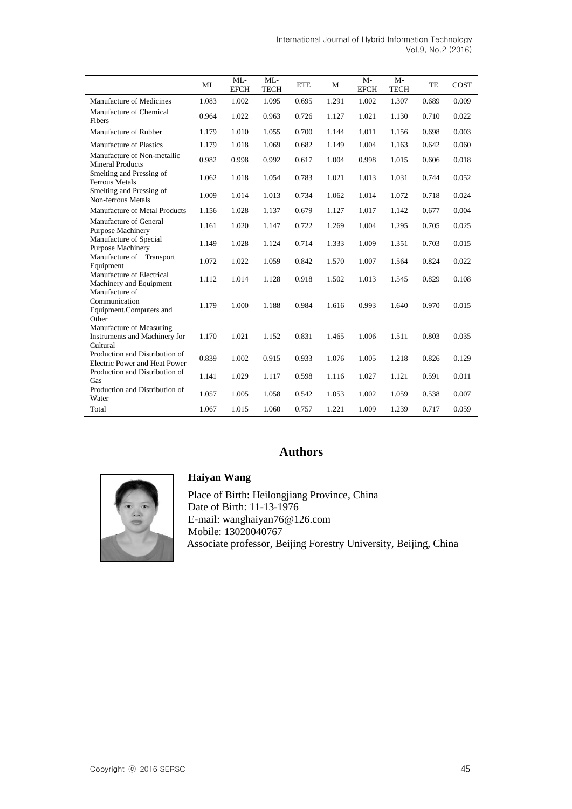|                                                                       | ML    | ML<br><b>EFCH</b> | ML<br><b>TECH</b> | <b>ETE</b> | M     | $M-$<br><b>EFCH</b> | $M -$<br><b>TECH</b> | TE    | <b>COST</b> |
|-----------------------------------------------------------------------|-------|-------------------|-------------------|------------|-------|---------------------|----------------------|-------|-------------|
| Manufacture of Medicines                                              | 1.083 | 1.002             | 1.095             | 0.695      | 1.291 | 1.002               | 1.307                | 0.689 | 0.009       |
| Manufacture of Chemical<br><b>Fibers</b>                              | 0.964 | 1.022             | 0.963             | 0.726      | 1.127 | 1.021               | 1.130                | 0.710 | 0.022       |
| Manufacture of Rubber                                                 | 1.179 | 1.010             | 1.055             | 0.700      | 1.144 | 1.011               | 1.156                | 0.698 | 0.003       |
| Manufacture of Plastics                                               | 1.179 | 1.018             | 1.069             | 0.682      | 1.149 | 1.004               | 1.163                | 0.642 | 0.060       |
| Manufacture of Non-metallic<br><b>Mineral Products</b>                | 0.982 | 0.998             | 0.992             | 0.617      | 1.004 | 0.998               | 1.015                | 0.606 | 0.018       |
| Smelting and Pressing of<br><b>Ferrous Metals</b>                     | 1.062 | 1.018             | 1.054             | 0.783      | 1.021 | 1.013               | 1.031                | 0.744 | 0.052       |
| Smelting and Pressing of<br>Non-ferrous Metals                        | 1.009 | 1.014             | 1.013             | 0.734      | 1.062 | 1.014               | 1.072                | 0.718 | 0.024       |
| Manufacture of Metal Products                                         | 1.156 | 1.028             | 1.137             | 0.679      | 1.127 | 1.017               | 1.142                | 0.677 | 0.004       |
| Manufacture of General<br><b>Purpose Machinery</b>                    | 1.161 | 1.020             | 1.147             | 0.722      | 1.269 | 1.004               | 1.295                | 0.705 | 0.025       |
| Manufacture of Special<br>Purpose Machinery                           | 1.149 | 1.028             | 1.124             | 0.714      | 1.333 | 1.009               | 1.351                | 0.703 | 0.015       |
| Manufacture of Transport<br>Equipment                                 | 1.072 | 1.022             | 1.059             | 0.842      | 1.570 | 1.007               | 1.564                | 0.824 | 0.022       |
| Manufacture of Electrical<br>Machinery and Equipment                  | 1.112 | 1.014             | 1.128             | 0.918      | 1.502 | 1.013               | 1.545                | 0.829 | 0.108       |
| Manufacture of<br>Communication<br>Equipment, Computers and<br>Other  | 1.179 | 1.000             | 1.188             | 0.984      | 1.616 | 0.993               | 1.640                | 0.970 | 0.015       |
| Manufacture of Measuring<br>Instruments and Machinery for<br>Cultural | 1.170 | 1.021             | 1.152             | 0.831      | 1.465 | 1.006               | 1.511                | 0.803 | 0.035       |
| Production and Distribution of<br>Electric Power and Heat Power       | 0.839 | 1.002             | 0.915             | 0.933      | 1.076 | 1.005               | 1.218                | 0.826 | 0.129       |
| Production and Distribution of<br>Gas                                 | 1.141 | 1.029             | 1.117             | 0.598      | 1.116 | 1.027               | 1.121                | 0.591 | 0.011       |
| Production and Distribution of<br>Water                               | 1.057 | 1.005             | 1.058             | 0.542      | 1.053 | 1.002               | 1.059                | 0.538 | 0.007       |
| Total                                                                 | 1.067 | 1.015             | 1.060             | 0.757      | 1.221 | 1.009               | 1.239                | 0.717 | 0.059       |

International Journal of Hybrid Information Technology Vol.9, No.2 (2016)

# **Authors**



### **Haiyan Wang**

Place of Birth: Heilongjiang Province, China Date of Birth: 11-13-1976 E-mail: wanghaiyan76@126.com Mobile: 13020040767 Associate professor, Beijing Forestry University, Beijing, China